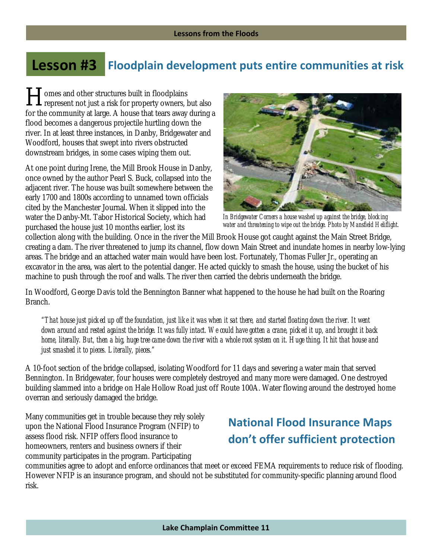## **Lesson #3 Floodplain development puts entire communities at risk**

omes and other structures built in floodplains I domes and other structures built in floodplains<br>
represent not just a risk for property owners, but also for the community at large. A house that tears away during a flood becomes a dangerous projectile hurtling down the river. In at least three instances, in Danby, Bridgewater and Woodford, houses that swept into rivers obstructed downstream bridges, in some cases wiping them out.

At one point during Irene, the Mill Brook House in Danby, once owned by the author Pearl S. Buck, collapsed into the adjacent river. The house was built somewhere between the early 1700 and 1800s according to unnamed town officials cited by the Manchester Journal. When it slipped into the water the Danby-Mt. Tabor Historical Society, which had purchased the house just 10 months earlier, lost its



*In Bridgewater Corners a house washed up against the bridge, blocking water and threatening to wipe out the bridge. Photo by Mansfield Heliflight.*

collection along with the building. Once in the river the Mill Brook House got caught against the Main Street Bridge, creating a dam. The river threatened to jump its channel, flow down Main Street and inundate homes in nearby low-lying areas. The bridge and an attached water main would have been lost. Fortunately, Thomas Fuller Jr., operating an excavator in the area, was alert to the potential danger. He acted quickly to smash the house, using the bucket of his machine to push through the roof and walls. The river then carried the debris underneath the bridge.

In Woodford, George Davis told the Bennington Banner what happened to the house he had built on the Roaring Branch.

*"That house just picked up off the foundation, just like it was when it sat there, and started floating down the river. It went down around and rested against the bridge. It was fully intact. We could have gotten a crane, picked it up, and brought it back home, literally. But, then a big, huge tree came down the river with a whole root system on it. Huge thing. It hit that house and just smashed it to pieces. Literally, pieces."* 

A 10-foot section of the bridge collapsed, isolating Woodford for 11 days and severing a water main that served Bennington. In Bridgewater, four houses were completely destroyed and many more were damaged. One destroyed building slammed into a bridge on Hale Hollow Road just off Route 100A. Water flowing around the destroyed home overran and seriously damaged the bridge.

Many communities get in trouble because they rely solely upon the National Flood Insurance Program (NFIP) to assess flood risk. NFIP offers flood insurance to homeowners, renters and business owners if their community participates in the program. Participating

## **National Flood Insurance Maps don't offer sufficient protection**

communities agree to adopt and enforce ordinances that meet or exceed FEMA requirements to reduce risk of flooding. However NFIP is an insurance program, and should not be substituted for community-specific planning around flood risk.